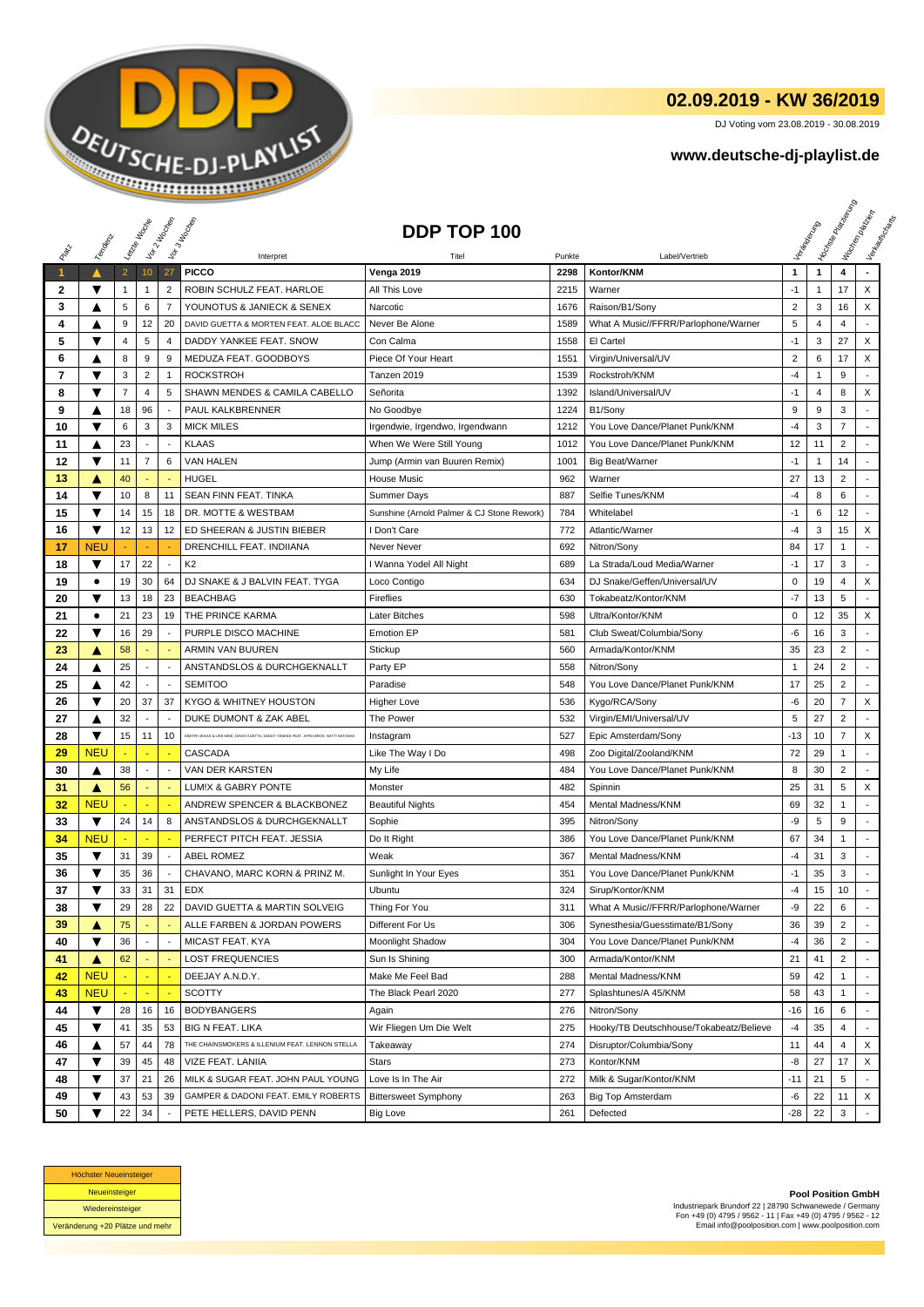

## **02.09.2019 - KW 36/2019**

DJ Voting vom 23.08.2019 - 30.08.2019

## **www.deutsche-dj-playlist.de**

|    |                         | Letzie Hacop   |                 | Voir2 Moone              | I bor 3 Incolas                                                                      | DDP TOP 100                                |        |                                         |                |                | <b>I Yon<sub>do Papi</sub></b> | I tochen policien<br>I Verkouwerd Britis |
|----|-------------------------|----------------|-----------------|--------------------------|--------------------------------------------------------------------------------------|--------------------------------------------|--------|-----------------------------------------|----------------|----------------|--------------------------------|------------------------------------------|
|    | Templary                |                |                 |                          |                                                                                      |                                            |        |                                         |                |                |                                |                                          |
|    |                         |                |                 |                          | Interpret                                                                            | Titel                                      | Punkte | Label/Vertrieb                          |                |                |                                |                                          |
|    |                         | $\overline{2}$ | 10 <sub>1</sub> | 27                       | <b>PICCO</b>                                                                         | <b>Venga 2019</b>                          | 2298   | Kontor/KNM                              | $\mathbf{1}$   | $\mathbf{1}$   | 4                              |                                          |
| 2  | ▼                       | $\mathbf{1}$   | 1               | $\overline{2}$           | ROBIN SCHULZ FEAT. HARLOE                                                            | All This Love                              | 2215   | Warner                                  | $-1$           | 1              | 17                             | X                                        |
| 3  | A                       | 5              | 6               | $\overline{7}$           | YOUNOTUS & JANIECK & SENEX                                                           | Narcotic                                   | 1676   | Raison/B1/Sony                          | $\overline{2}$ | 3              | 16                             | X                                        |
| 4  | ▲                       | 9              | 12              | 20                       | DAVID GUETTA & MORTEN FEAT. ALOE BLACC                                               | Never Be Alone                             | 1589   | What A Music//FFRR/Parlophone/Warner    | 5              | $\overline{4}$ | $\overline{4}$                 |                                          |
| 5  | ▼                       | 4              | 5               | 4                        | DADDY YANKEE FEAT. SNOW                                                              | Con Calma                                  | 1558   | El Cartel                               | $-1$           | 3              | 27                             | X                                        |
| 6  | ▲                       | 8              | 9               | 9                        | MEDUZA FEAT. GOODBOYS                                                                | Piece Of Your Heart                        | 1551   | Virgin/Universal/UV                     | $\overline{2}$ | 6              | 17                             | X                                        |
| 7  | ▼                       | 3              | $\overline{c}$  | $\mathbf{1}$             | <b>ROCKSTROH</b>                                                                     | Tanzen 2019                                | 1539   | Rockstroh/KNM                           | $-4$           | $\mathbf{1}$   | 9                              |                                          |
| 8  | ▼                       | $\overline{7}$ | 4               | 5                        | SHAWN MENDES & CAMILA CABELLO                                                        | Señorita                                   | 1392   | Island/Universal/UV                     | $-1$           | 4              | 8                              | X                                        |
| 9  | ▲                       | 18             | 96              |                          | PAUL KALKBRENNER                                                                     | No Goodbye                                 | 1224   | B1/Sony                                 | 9              | 9              | 3                              |                                          |
| 10 | ▼                       | 6              | 3               | 3                        | <b>MICK MILES</b>                                                                    | Irgendwie, Irgendwo, Irgendwann            | 1212   | You Love Dance/Planet Punk/KNM          | $-4$           | 3              | $\overline{7}$                 |                                          |
| 11 | ▲                       | 23             | $\blacksquare$  | $\overline{\phantom{a}}$ | <b>KLAAS</b>                                                                         | When We Were Still Young                   | 1012   | You Love Dance/Planet Punk/KNM          | 12             | 11             | $\overline{2}$                 |                                          |
| 12 | ▼                       | 11             | $\overline{7}$  | 6                        | <b>VAN HALEN</b>                                                                     | Jump (Armin van Buuren Remix)              | 1001   | <b>Big Beat/Warner</b>                  | $-1$           | 1              | 14                             |                                          |
| 13 | Α                       | 40             |                 |                          | <b>HUGEL</b>                                                                         | House Music                                | 962    | Warner                                  | 27             | 13             | $\overline{2}$                 |                                          |
| 14 | $\overline{\mathbf{v}}$ | 10             | 8               | 11                       | SEAN FINN FEAT. TINKA                                                                | <b>Summer Days</b>                         | 887    | Selfie Tunes/KNM                        | $-4$           | 8              | 6                              | $\overline{a}$                           |
| 15 | ▼                       | 14             | 15              | 18                       | DR. MOTTE & WESTBAM                                                                  | Sunshine (Arnold Palmer & CJ Stone Rework) | 784    | Whitelabel                              | $-1$           | 6              | 12                             | $\overline{a}$                           |
| 16 | ▼                       | 12             | 13              | 12                       | ED SHEERAN & JUSTIN BIEBER                                                           | I Don't Care                               | 772    | Atlantic/Warner                         | -4             | 3              | 15                             | X                                        |
| 17 | <b>NEU</b>              |                |                 |                          | DRENCHILL FEAT. INDIIANA                                                             | Never Never                                | 692    | Nitron/Sony                             | 84             | 17             | $\mathbf{1}$                   |                                          |
| 18 | ▼                       | 17             | 22              | ÷                        | K <sub>2</sub>                                                                       | I Wanna Yodel All Night                    | 689    | La Strada/Loud Media/Warner             | $-1$           | 17             | 3                              |                                          |
| 19 | ٠                       | 19             | 30              | 64                       | DJ SNAKE & J BALVIN FEAT. TYGA                                                       | Loco Contigo                               | 634    | DJ Snake/Geffen/Universal/UV            | $\mathbf 0$    | 19             | 4                              | X                                        |
| 20 | ▼                       | 13             | 18              | 23                       | <b>BEACHBAG</b>                                                                      | Fireflies                                  | 630    | Tokabeatz/Kontor/KNM                    | $-7$           | 13             | 5                              |                                          |
| 21 | $\bullet$               | 21             | 23              | 19                       | THE PRINCE KARMA                                                                     | Later Bitches                              | 598    | Ultra/Kontor/KNM                        | $\mathbf 0$    | 12             | 35                             | X                                        |
| 22 | ▼                       | 16             | 29              |                          | PURPLE DISCO MACHINE                                                                 | <b>Emotion EP</b>                          | 581    | Club Sweat/Columbia/Sony                | -6             | 16             | 3                              |                                          |
| 23 | Δ                       | 58             |                 |                          | <b>ARMIN VAN BUUREN</b>                                                              | Stickup                                    | 560    | Armada/Kontor/KNM                       | 35             | 23             | $\overline{2}$                 |                                          |
| 24 | ▲                       | 25             | $\blacksquare$  | $\overline{\phantom{a}}$ | ANSTANDSLOS & DURCHGEKNALLT                                                          | Party EP                                   | 558    | Nitron/Sony                             | $\overline{1}$ | 24             | $\overline{2}$                 |                                          |
| 25 | Δ                       | 42             |                 | ÷,                       | <b>SEMITOO</b>                                                                       | Paradise                                   | 548    | You Love Dance/Planet Punk/KNM          | 17             | 25             | $\overline{2}$                 |                                          |
| 26 | ▼                       | 20             | 37              | 37                       | KYGO & WHITNEY HOUSTON                                                               | <b>Higher Love</b>                         | 536    | Kygo/RCA/Sony                           | -6             | 20             | $\overline{7}$                 | X                                        |
| 27 | ▲                       | 32             |                 |                          | DUKE DUMONT & ZAK ABEL                                                               | The Power                                  | 532    | Virgin/EMI/Universal/UV                 | 5              | 27             | $\overline{2}$                 | $\overline{\phantom{a}}$                 |
| 28 | ▼                       | 15             | 11              | 10                       | DIMITRI VEGAS & LIKE MIKE, DAVID GUETTA, DADDY YANKEE FEAT. AFRO BROS, NATTI NATASHA | Instagram                                  | 527    | Epic Amsterdam/Sony                     | $-13$          | 10             | $\overline{7}$                 | X                                        |
| 29 | <b>NEU</b>              |                |                 |                          | CASCADA                                                                              | Like The Way I Do                          | 498    | Zoo Digital/Zooland/KNM                 | 72             | 29             | 1                              |                                          |
| 30 | ▲                       | 38             | $\blacksquare$  | ÷,                       | VAN DER KARSTEN                                                                      | My Life                                    | 484    | You Love Dance/Planet Punk/KNM          | 8              | 30             | $\overline{2}$                 | $\overline{a}$                           |
| 31 | ▲                       | 56             |                 |                          | LUM!X & GABRY PONTE                                                                  | Monster                                    | 482    | Spinnin                                 | 25             | 31             | 5                              | X                                        |
| 32 | <b>NEU</b>              |                |                 |                          | ANDREW SPENCER & BLACKBONEZ                                                          | <b>Beautiful Nights</b>                    | 454    | Mental Madness/KNM                      | 69             | 32             | 1                              |                                          |
| 33 | ▼                       | 24             | 14              | 8                        | ANSTANDSLOS & DURCHGEKNALLT                                                          | Sophie                                     | 395    | Nitron/Sony                             | -9             | 5              | 9                              | $\blacksquare$                           |
| 34 | <b>NEU</b>              |                | ٠               |                          | PERFECT PITCH FEAT. JESSIA                                                           | Do It Right                                | 386    | You Love Dance/Planet Punk/KNM          | 67             | 34             | $\mathbf{1}$                   | $\blacksquare$                           |
| 35 | ▼                       | 31             | 39              | $\blacksquare$           | <b>ABEL ROMEZ</b>                                                                    | Weak                                       | 367    | Mental Madness/KNM                      | -4             | 31             | 3                              |                                          |
| 36 | ▼                       | 35             | 36              |                          | CHAVANO, MARC KORN & PRINZ M.                                                        | Sunlight In Your Eyes                      | 351    | You Love Dance/Planet Punk/KNM          | $-1$           | 35             | 3                              |                                          |
| 37 | ▼                       | 33             | 31              | 31                       | <b>EDX</b>                                                                           | Ubuntu                                     | 324    | Sirup/Kontor/KNM                        | $-4$           | 15             | 10                             | $\sim$                                   |
| 38 | ▼                       | 29             | 28              | 22                       | DAVID GUETTA & MARTIN SOLVEIG                                                        | Thing For You                              | 311    | What A Music//FFRR/Parlophone/Warner    | -9             | 22             | 6                              |                                          |
| 39 | ▲                       | 75             |                 |                          | ALLE FARBEN & JORDAN POWERS                                                          | Different For Us                           | 306    | Synesthesia/Guesstimate/B1/Sony         | 36             | 39             | $\overline{c}$                 |                                          |
| 40 | ▼                       | 36             |                 |                          | MICAST FEAT. KYA                                                                     | Moonlight Shadow                           | 304    | You Love Dance/Planet Punk/KNM          | $-4$           | 36             | $\overline{2}$                 |                                          |
| 41 | ▲                       | 62             |                 |                          | <b>LOST FREQUENCIES</b>                                                              | Sun Is Shining                             | 300    | Armada/Kontor/KNM                       | 21             | 41             | $\overline{c}$                 |                                          |
| 42 | <b>NEU</b>              |                |                 |                          | DEEJAY A.N.D.Y.                                                                      | Make Me Feel Bad                           | 288    | Mental Madness/KNM                      | 59             | 42             | 1                              |                                          |
| 43 | <b>NEU</b>              |                |                 |                          | <b>SCOTTY</b>                                                                        | The Black Pearl 2020                       | 277    | Splashtunes/A 45/KNM                    | 58             | 43             |                                |                                          |
| 44 | ▼                       | 28             | 16              | 16                       | <b>BODYBANGERS</b>                                                                   | Again                                      | 276    | Nitron/Sony                             | $-16$          | 16             | 6                              |                                          |
| 45 | ▼                       | 41             | 35              | 53                       | <b>BIG N FEAT. LIKA</b>                                                              | Wir Fliegen Um Die Welt                    | 275    | Hooky/TB Deutschhouse/Tokabeatz/Believe | $-4$           | 35             | 4                              |                                          |
| 46 | ▲                       | 57             | 44              | 78                       | THE CHAINSMOKERS & ILLENIUM FEAT. LENNON STELLA                                      | Takeaway                                   | 274    | Disruptor/Columbia/Sony                 | 11             | 44             | 4                              | X                                        |
| 47 | ▼                       | 39             | 45              | 48                       | VIZE FEAT. LANIIA                                                                    | Stars                                      | 273    | Kontor/KNM                              | -8             | 27             | 17                             | X                                        |
| 48 | ▼                       | 37             | 21              | 26                       | MILK & SUGAR FEAT. JOHN PAUL YOUNG                                                   | Love Is In The Air                         | 272    | Milk & Sugar/Kontor/KNM                 | -11            | 21             | 5                              |                                          |
| 49 | ▼                       | 43             | 53              | 39                       | GAMPER & DADONI FEAT. EMILY ROBERTS                                                  | <b>Bittersweet Symphony</b>                | 263    | <b>Big Top Amsterdam</b>                | -6             | 22             | 11                             | X                                        |
| 50 | $\overline{\textbf{v}}$ | 22             | 34              |                          | PETE HELLERS, DAVID PENN                                                             | Big Love                                   | 261    | Defected                                | -28            | 22             | 3                              |                                          |



**Pool Position GmbH** Industriepark Brundorf 22 | 28790 Schwanewede / Germany Fon +49 (0) 4795 / 9562 - 11 | Fax +49 (0) 4795 / 9562 - 12 Email info@poolposition.com | www.poolposition.com